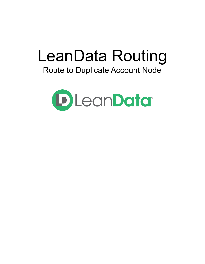# LeanData Routing

## Route to Duplicate Account Node

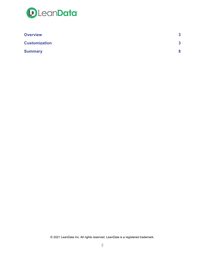

| <b>Overview</b>      | 3 |
|----------------------|---|
| <b>Customization</b> | 3 |
| <b>Summary</b>       |   |

© 2021 LeanData Inc. All rights reserved. LeanData is a registered trademark.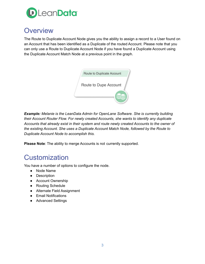

### <span id="page-2-0"></span>**Overview**

The Route to Duplicate Account Node gives you the ability to assign a record to a User found on an Account that has been identified as a Duplicate of the routed Account. Please note that you can only use a Route to Duplicate Account Node if you have found a Duplicate Account using the Duplicate Account Match Node at a previous point in the graph.



*Example: Melanie is the LeanData Admin for OpenLane Software. She is currently building their Account Router Flow. For newly created Accounts, she wants to identify any duplicate Accounts that already exist in their system and route newly created Accounts to the owner of the existing Account. She uses a Duplicate Account Match Node, followed by the Route to Duplicate Account Node to accomplish this.*

<span id="page-2-1"></span>**Please Note**: The ability to merge Accounts is not currently supported.

## **Customization**

You have a number of options to configure the node.

- Node Name
- Description
- Account Ownership
- Routing Schedule
- Alternate Field Assignment
- Email Notifications
- Advanced Settings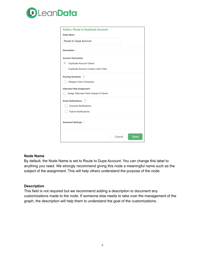

| <b>Action: Route to Duplicate Account</b><br><b>Node Name</b>                |        |      |
|------------------------------------------------------------------------------|--------|------|
| Route to Dupe Account                                                        |        |      |
| Description >                                                                |        |      |
| <b>Account Ownership</b>                                                     |        |      |
| Duplicate Account Owner                                                      |        |      |
| Duplicate Account Custom User Field                                          |        |      |
| Routing Schedule $\langle ? \rangle$<br>Respect User's Schedule              |        |      |
| <b>Alternate Field Assignment</b><br>Assign Alternate Field Instead of Owner |        |      |
| Email Notifications $\langle ? \rangle$                                      |        |      |
| <b>Success Notifications</b>                                                 |        |      |
| <b>Failure Notifications</b>                                                 |        |      |
| Advanced Settings >                                                          |        |      |
|                                                                              | Cancel | Done |

#### **Node Name**

By default, the Node Name is set to Route to Dupe Account. You can change this label to anything you need. We strongly recommend giving this node a meaningful name such as the subject of the assignment. This will help others understand the purpose of the node.

#### **Description**

This field is not required but we recommend adding a description to document any customizations made to the node. If someone else needs to take over the management of the graph, the description will help them to understand the goal of the customizations.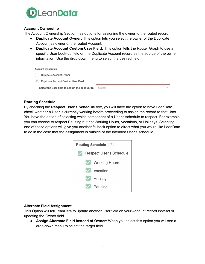

#### **Account Ownership**

The Account Ownership Section has options for assigning the owner to the routed record.

- **Duplicate Account Owner:** This option lets you select the owner of the Duplicate Account as owner of the routed Account.
- **Duplicate Account Custom User Field:** This option tells the Router Graph to use a specific User Look-up field on the Duplicate Account record as the source of the owner information. Use the drop-down menu to select the desired field.

| <b>Account Ownership</b>                       |        |
|------------------------------------------------|--------|
| <b>Duplicate Account Owner</b>                 |        |
| Duplicate Account Custom User Field            |        |
| Select the user field to assign the account to | Search |
|                                                |        |

#### **Routing Schedule**

By checking the **Respect User's Schedule** box, you will have the option to have LeanData check whether a User is currently working before proceeding to assign the record to that User. You have the option of selecting which component of a User's schedule to respect. For example you can choose to respect Pausing but not Working Hours, Vacations, or Holidays. Selecting one of these options will give you another fallback option to direct what you would like LeanData to do in the case that the assignment is outside of the intended User's schedule.



#### **Alternate Field Assignment**

This Option will tell LeanData to update another User field on your Account record instead of updating the Owner field.

● **Assign Alternate Field Instead of Owner:** When you select this option you will see a drop-down menu to select the target field.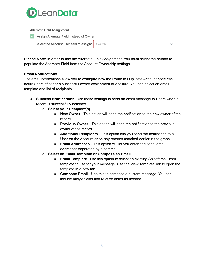

| <b>Alternate Field Assignment</b>               |  |
|-------------------------------------------------|--|
| Assign Alternate Field Instead of Owner         |  |
| Select the Account user field to assign: Search |  |
|                                                 |  |

**Please Note:** In order to use the Alternate Field Assignment, you must select the person to populate the Alternate Field from the Account Ownership settings.

#### **Email Notifications**

The email notifications allow you to configure how the Route to Duplicate Account node can notify Users of either a successful owner assignment or a failure. You can select an email template and list of recipients.

- **Success Notifications:** Use these settings to send an email message to Users when a record is successfully actioned.
	- **○ Select your Recipient(s)**
		- **New Owner** This option will send the notification to the new owner of the record.
		- **Previous Owner** This option will send the notification to the previous owner of the record.
		- **Additional Recipients** This option lets you send the notification to a User on the Account or on any records matched earlier in the graph.
		- **Email Addresses -** This option will let you enter additional email addresses separated by a comma.
	- **○ Select an Email Template or Compose an Email.**
		- **Email Template** use this option to select an existing Salesforce Email template to use for your message. Use the View Template link to open the template in a new tab.
		- **Compose Email** Use this to compose a custom message. You can include merge fields and relative dates as needed.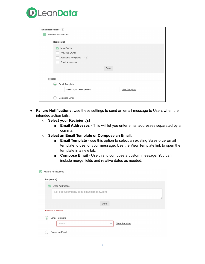

| Email Notifications (?)                               |              |                      |
|-------------------------------------------------------|--------------|----------------------|
| <b>Success Notifications</b>                          |              |                      |
|                                                       |              |                      |
| Recipient(s)                                          |              |                      |
| New Owner<br>Ιv                                       |              |                      |
| Previous Owner                                        |              |                      |
| <b>Additional Recipients</b><br>$\langle$ ? $\rangle$ |              |                      |
| <b>Email Addresses</b>                                |              |                      |
|                                                       |              |                      |
|                                                       | Done         |                      |
|                                                       |              |                      |
| <b>Message</b>                                        |              |                      |
| <b>Email Template</b><br>$\bullet$                    |              |                      |
| Sales: New Customer Email                             | $\checkmark$ | <b>View Template</b> |
| Compose Email                                         |              |                      |
|                                                       |              |                      |

- **Failure Notifications:** Use these settings to send an email message to Users when the intended action fails.
	- **○ Select your Recipient(s)**
		- **Email Addresses -** This will let you enter email addresses separated by a comma.
	- **○ Select an Email Template or Compose an Email.**
		- **Email Template** use this option to select an existing Salesforce Email template to use for your message. Use the View Template link to open the template in a new tab.
		- **Compose Email** Use this to compose a custom message. You can include merge fields and relative dates as needed.

|              | <b>Failure Notifications</b>                   |
|--------------|------------------------------------------------|
| Recipient(s) |                                                |
| Ō            | <b>Email Addresses</b>                         |
|              | e.g. bob@company.com, tim@company.com          |
|              | //                                             |
|              | Done                                           |
|              | <b>Recipient is required</b>                   |
| $\bullet$    | <b>Email Template</b>                          |
|              | <b>View Template</b><br>Search<br>$\checkmark$ |
|              | Compose Email                                  |